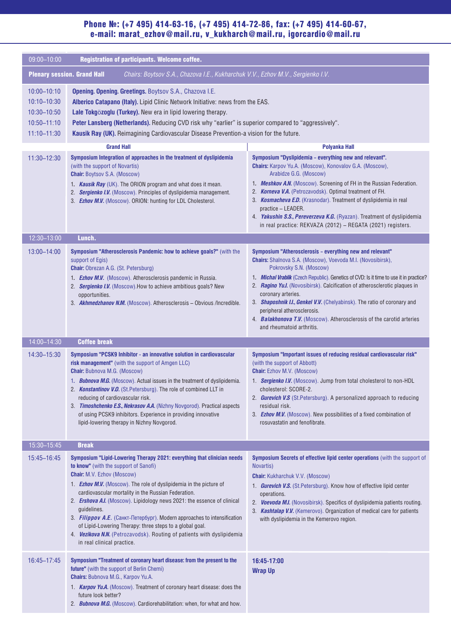### Phone №: (+7 495) 414-63-16, (+7 495) 414-72-86, fax: (+7 495) 414-60-67, e-mail: marat\_ezhov@mail.ru, v\_kukharch@mail.ru, igorcardio@mail.ru

| 09:00-10:00                                                                                                                                                                                                                                                                                                                                                                                                                                                                                          | Registration of participants. Welcome coffee.                                                                                                                                                                                                                                                                                                                                                                                                                                                                                                                                                                                       |                                                                                                                                                                                                                                                                                                                                                                                                                                                                                                                                                                           |
|------------------------------------------------------------------------------------------------------------------------------------------------------------------------------------------------------------------------------------------------------------------------------------------------------------------------------------------------------------------------------------------------------------------------------------------------------------------------------------------------------|-------------------------------------------------------------------------------------------------------------------------------------------------------------------------------------------------------------------------------------------------------------------------------------------------------------------------------------------------------------------------------------------------------------------------------------------------------------------------------------------------------------------------------------------------------------------------------------------------------------------------------------|---------------------------------------------------------------------------------------------------------------------------------------------------------------------------------------------------------------------------------------------------------------------------------------------------------------------------------------------------------------------------------------------------------------------------------------------------------------------------------------------------------------------------------------------------------------------------|
| <b>Plenary session. Grand Hall</b><br>Chairs: Boytsov S.A., Chazova I.E., Kukharchuk V.V., Ezhov M.V., Sergienko I.V.                                                                                                                                                                                                                                                                                                                                                                                |                                                                                                                                                                                                                                                                                                                                                                                                                                                                                                                                                                                                                                     |                                                                                                                                                                                                                                                                                                                                                                                                                                                                                                                                                                           |
| 10:00-10:10<br>Opening. Opening. Greetings. Boytsov S.A., Chazova I.E.<br>Alberico Catapano (Italy). Lipid Clinic Network Initiative: news from the EAS.<br>$10:10 - 10:30$<br>10:30-10:50<br>Lale Tokgözoglu (Turkey). New era in lipid lowering therapy.<br>$10:50 - 11:10$<br>Peter Lansberg (Netherlands). Reducing CVD risk why "earlier" is superior compared to "aggressively".<br>$11:10 - 11:30$<br>Kausik Ray (UK). Reimagining Cardiovascular Disease Prevention-a vision for the future. |                                                                                                                                                                                                                                                                                                                                                                                                                                                                                                                                                                                                                                     |                                                                                                                                                                                                                                                                                                                                                                                                                                                                                                                                                                           |
|                                                                                                                                                                                                                                                                                                                                                                                                                                                                                                      | <b>Grand Hall</b>                                                                                                                                                                                                                                                                                                                                                                                                                                                                                                                                                                                                                   | <b>Polyanka Hall</b>                                                                                                                                                                                                                                                                                                                                                                                                                                                                                                                                                      |
| 11:30-12:30                                                                                                                                                                                                                                                                                                                                                                                                                                                                                          | Symposium Integration of approaches in the treatment of dyslipidemia<br>(with the support of Novartis)<br><b>Chair: Boytsov S.A. (Moscow)</b><br>1. Kausik Ray (UK). The ORION program and what does it mean.<br>2. Sergienko I.V. (Moscow). Principles of dyslipidemia management.<br>3. Ezhov M.V. (Moscow). ORION: hunting for LDL Cholesterol.                                                                                                                                                                                                                                                                                  | Symposium "Dyslipidemia - everything new and relevant".<br>Chairs: Karpov Yu.A. (Moscow), Konovalov G.A. (Moscow),<br>Arabidze G.G. (Moscow)<br>1. Meshkov A.N. (Moscow). Screening of FH in the Russian Federation.<br>2. Korneva V.A. (Petrozavodsk). Optimal treatment of FH.<br>3. Kosmacheva E.D. (Krasnodar). Treatment of dyslipidemia in real<br>practice - LEADER.<br>4. Yakushin S.S., Pereverzeva K.G. (Ryazan). Treatment of dyslipidemia<br>in real practice: REKVAZA (2012) - REGATA (2021) registers.                                                      |
| 12:30-13:00                                                                                                                                                                                                                                                                                                                                                                                                                                                                                          | Lunch.                                                                                                                                                                                                                                                                                                                                                                                                                                                                                                                                                                                                                              |                                                                                                                                                                                                                                                                                                                                                                                                                                                                                                                                                                           |
| 13:00-14:00                                                                                                                                                                                                                                                                                                                                                                                                                                                                                          | Symposium "Atherosclerosis Pandemic: how to achieve goals?" (with the<br>support of Egis)<br><b>Chair:</b> Obrezan A.G. (St. Petersburg)<br>1. Ezhov M.V. (Moscow). Atherosclerosis pandemic in Russia.<br>2. Sergienko I.V. (Moscow). How to achieve ambitious goals? New<br>opportunities.<br>3. Akhmedzhanov N.M. (Moscow). Atherosclerosis - Obvious /Incredible.                                                                                                                                                                                                                                                               | Symposium "Atherosclerosis - everything new and relevant"<br>Chairs: Shalnova S.A. (Moscow), Voevoda M.I. (Novosibirsk),<br>Pokrovsky S.N. (Moscow)<br>1. Michal Vrablik (Czech Republic). Genetics of CVD: Is it time to use it in practice?<br>2. Ragino Yu.I. (Novosibirsk). Calcification of atherosclerotic plaques in<br>coronary arteries.<br>3. Shaposhnik I.I., Genkel V.V. (Chelyabinsk). The ratio of coronary and<br>peripheral atherosclerosis.<br>4. <b>Balakhonova T.V.</b> (Moscow). Atherosclerosis of the carotid arteries<br>and rheumatoid arthritis. |
| 14:00-14:30                                                                                                                                                                                                                                                                                                                                                                                                                                                                                          | <b>Coffee break</b>                                                                                                                                                                                                                                                                                                                                                                                                                                                                                                                                                                                                                 |                                                                                                                                                                                                                                                                                                                                                                                                                                                                                                                                                                           |
| 14:30-15:30                                                                                                                                                                                                                                                                                                                                                                                                                                                                                          | Symposium "PCSK9 Inhibitor - an innovative solution in cardiovascular<br>risk management" (with the support of Amgen LLC)<br><b>Chair:</b> Bubnova M.G. (Moscow)<br>1. <b>Bubnova M.G.</b> (Moscow). Actual issues in the treatment of dyslipidemia.<br>2. <b>Konstantinov V.O.</b> (St.Petersburg). The role of combined LLT in<br>reducing of cardiovascular risk.<br>3. Timoshchenko E.S., Nekrasov A.A. (Nizhny Novgorod). Practical aspects<br>of using PCSK9 inhibitors. Experience in providing innovative<br>lipid-lowering therapy in Nizhny Novgorod.                                                                     | Symposium "Important issues of reducing residual cardiovascular risk"<br>(with the support of Abbott)<br><b>Chair:</b> Ezhov M.V. (Moscow)<br>1. Sergienko I.V. (Moscow). Jump from total cholesterol to non-HDL<br>cholesterol: SCORE-2.<br>2. <b>Gurevich V.S</b> (St. Petersburg). A personalized approach to reducing<br>residual risk.<br>3. Ezhov M.V. (Moscow). New possibilities of a fixed combination of<br>rosuvastatin and fenofibrate.                                                                                                                       |
| 15:30-15:45                                                                                                                                                                                                                                                                                                                                                                                                                                                                                          | <b>Break</b>                                                                                                                                                                                                                                                                                                                                                                                                                                                                                                                                                                                                                        |                                                                                                                                                                                                                                                                                                                                                                                                                                                                                                                                                                           |
| 15:45-16:45                                                                                                                                                                                                                                                                                                                                                                                                                                                                                          | Symposium "Lipid-Lowering Therapy 2021: everything that clinician needs<br>to know" (with the support of Sanofi)<br><b>Chair:</b> M.V. Ezhov (Moscow)<br>1. <b>Ezhov M.V.</b> (Moscow). The role of dyslipidemia in the picture of<br>cardiovascular mortality in the Russian Federation.<br>2. Ershova A.I. (Moscow). Lipidology news 2021: the essence of clinical<br>guidelines.<br>3. Filippov A.E. (Санкт-Петербург). Modern approaches to intensification<br>of Lipid-Lowering Therapy: three steps to a global goal.<br>4. Vezikova N.N. (Petrozavodsk). Routing of patients with dyslipidemia<br>in real clinical practice. | Symposium Secrets of effective lipid center operations (with the support of<br>Novartis)<br><b>Chair:</b> Kukharchuk V.V. (Moscow)<br>1. Gurevich V.S. (St. Petersburg). Know how of effective lipid center<br>operations.<br>2. Voevoda M.I. (Novosibirsk). Specifics of dyslipidemia patients routing.<br>3. Kashtalap V.V. (Kemerovo). Organization of medical care for patients<br>with dyslipidemia in the Kemerovo region.                                                                                                                                          |
| 16:45-17:45                                                                                                                                                                                                                                                                                                                                                                                                                                                                                          | Symposium "Treatment of coronary heart disease: from the present to the<br>future" (with the support of Berlin Chemi)<br>Chairs: Bubnova M.G., Karpov Yu.A.<br>1. <b>Karpov Yu.A.</b> (Moscow). Treatment of coronary heart disease: does the<br>future look better?<br>2. <b>Bubnova M.G.</b> (Moscow). Cardiorehabilitation: when, for what and how.                                                                                                                                                                                                                                                                              | 16:45-17:00<br><b>Wrap Up</b>                                                                                                                                                                                                                                                                                                                                                                                                                                                                                                                                             |